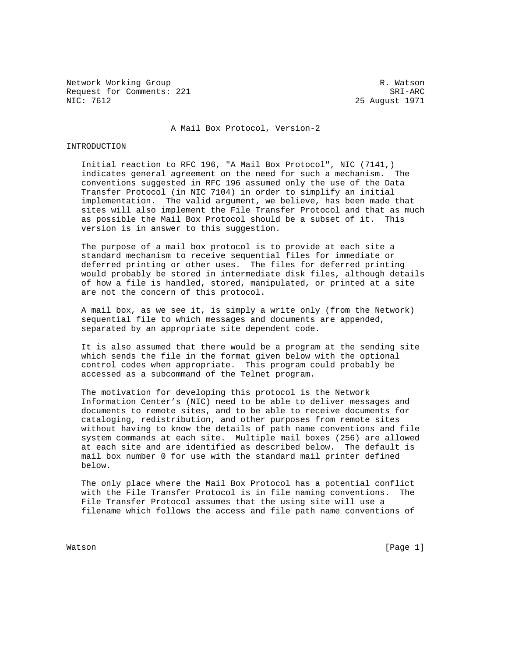Network Working Group and the set of the set of the set of the R. Watson Request for Comments: 221 SRI-ARC<br>NIC: 7612 25 August 1971

25 August 1971

## A Mail Box Protocol, Version-2

## INTRODUCTION

 Initial reaction to RFC 196, "A Mail Box Protocol", NIC (7141,) indicates general agreement on the need for such a mechanism. The conventions suggested in RFC 196 assumed only the use of the Data Transfer Protocol (in NIC 7104) in order to simplify an initial implementation. The valid argument, we believe, has been made that sites will also implement the File Transfer Protocol and that as much as possible the Mail Box Protocol should be a subset of it. This version is in answer to this suggestion.

 The purpose of a mail box protocol is to provide at each site a standard mechanism to receive sequential files for immediate or deferred printing or other uses. The files for deferred printing would probably be stored in intermediate disk files, although details of how a file is handled, stored, manipulated, or printed at a site are not the concern of this protocol.

 A mail box, as we see it, is simply a write only (from the Network) sequential file to which messages and documents are appended, separated by an appropriate site dependent code.

 It is also assumed that there would be a program at the sending site which sends the file in the format given below with the optional control codes when appropriate. This program could probably be accessed as a subcommand of the Telnet program.

 The motivation for developing this protocol is the Network Information Center's (NIC) need to be able to deliver messages and documents to remote sites, and to be able to receive documents for cataloging, redistribution, and other purposes from remote sites without having to know the details of path name conventions and file system commands at each site. Multiple mail boxes (256) are allowed at each site and are identified as described below. The default is mail box number 0 for use with the standard mail printer defined below.

 The only place where the Mail Box Protocol has a potential conflict with the File Transfer Protocol is in file naming conventions. The File Transfer Protocol assumes that the using site will use a filename which follows the access and file path name conventions of

Watson [Page 1]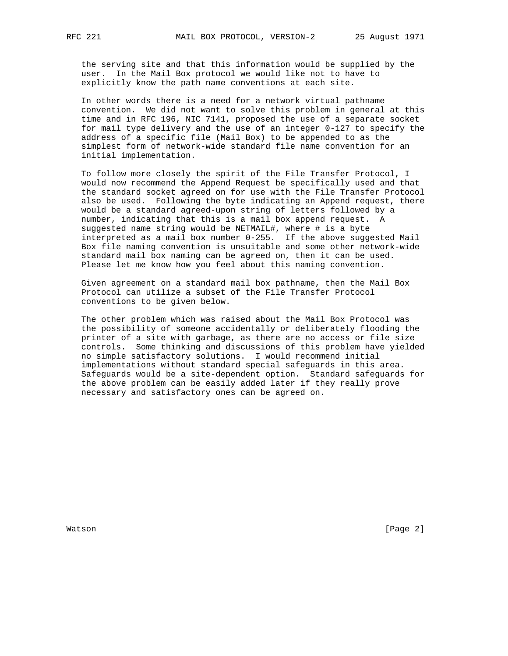the serving site and that this information would be supplied by the user. In the Mail Box protocol we would like not to have to explicitly know the path name conventions at each site.

 In other words there is a need for a network virtual pathname convention. We did not want to solve this problem in general at this time and in RFC 196, NIC 7141, proposed the use of a separate socket for mail type delivery and the use of an integer 0-127 to specify the address of a specific file (Mail Box) to be appended to as the simplest form of network-wide standard file name convention for an initial implementation.

 To follow more closely the spirit of the File Transfer Protocol, I would now recommend the Append Request be specifically used and that the standard socket agreed on for use with the File Transfer Protocol also be used. Following the byte indicating an Append request, there would be a standard agreed-upon string of letters followed by a number, indicating that this is a mail box append request. A suggested name string would be NETMAIL#, where # is a byte interpreted as a mail box number 0-255. If the above suggested Mail Box file naming convention is unsuitable and some other network-wide standard mail box naming can be agreed on, then it can be used. Please let me know how you feel about this naming convention.

 Given agreement on a standard mail box pathname, then the Mail Box Protocol can utilize a subset of the File Transfer Protocol conventions to be given below.

 The other problem which was raised about the Mail Box Protocol was the possibility of someone accidentally or deliberately flooding the printer of a site with garbage, as there are no access or file size controls. Some thinking and discussions of this problem have yielded no simple satisfactory solutions. I would recommend initial implementations without standard special safeguards in this area. Safeguards would be a site-dependent option. Standard safeguards for the above problem can be easily added later if they really prove necessary and satisfactory ones can be agreed on.

Watson [Page 2]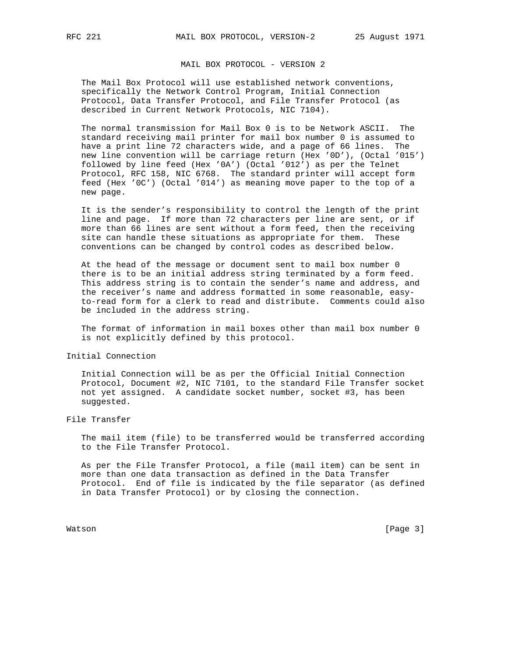MAIL BOX PROTOCOL - VERSION 2

 The Mail Box Protocol will use established network conventions, specifically the Network Control Program, Initial Connection Protocol, Data Transfer Protocol, and File Transfer Protocol (as described in Current Network Protocols, NIC 7104).

 The normal transmission for Mail Box 0 is to be Network ASCII. The standard receiving mail printer for mail box number 0 is assumed to have a print line 72 characters wide, and a page of 66 lines. The new line convention will be carriage return (Hex '0D'), (Octal '015') followed by line feed (Hex '0A') (Octal '012') as per the Telnet Protocol, RFC 158, NIC 6768. The standard printer will accept form feed (Hex '0C') (Octal '014') as meaning move paper to the top of a new page.

 It is the sender's responsibility to control the length of the print line and page. If more than 72 characters per line are sent, or if more than 66 lines are sent without a form feed, then the receiving site can handle these situations as appropriate for them. These conventions can be changed by control codes as described below.

 At the head of the message or document sent to mail box number 0 there is to be an initial address string terminated by a form feed. This address string is to contain the sender's name and address, and the receiver's name and address formatted in some reasonable, easy to-read form for a clerk to read and distribute. Comments could also be included in the address string.

 The format of information in mail boxes other than mail box number 0 is not explicitly defined by this protocol.

Initial Connection

 Initial Connection will be as per the Official Initial Connection Protocol, Document #2, NIC 7101, to the standard File Transfer socket not yet assigned. A candidate socket number, socket #3, has been suggested.

## File Transfer

 The mail item (file) to be transferred would be transferred according to the File Transfer Protocol.

 As per the File Transfer Protocol, a file (mail item) can be sent in more than one data transaction as defined in the Data Transfer Protocol. End of file is indicated by the file separator (as defined in Data Transfer Protocol) or by closing the connection.

Watson [Page 3]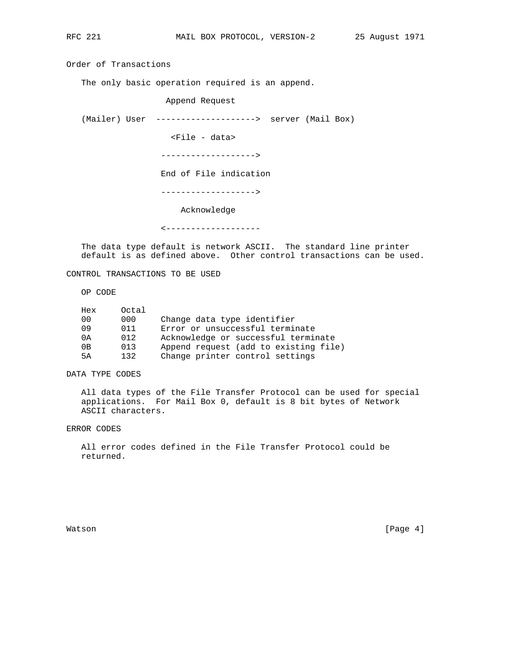Order of Transactions

The only basic operation required is an append.

Append Request

(Mailer) User --------------------> server (Mail Box)

<File - data>

------------------->

End of File indication

------------------->

## Acknowledge

<-------------------

 The data type default is network ASCII. The standard line printer default is as defined above. Other control transactions can be used.

CONTROL TRANSACTIONS TO BE USED

OP CODE

| Hex            | Octal |                                       |
|----------------|-------|---------------------------------------|
| 0 <sub>0</sub> | 000   | Change data type identifier           |
| 09             | 011   | Error or unsuccessful terminate       |
| 0A             | 012   | Acknowledge or successful terminate   |
| 0B             | 013   | Append request (add to existing file) |
| 5A             | 132   | Change printer control settings       |

DATA TYPE CODES

 All data types of the File Transfer Protocol can be used for special applications. For Mail Box 0, default is 8 bit bytes of Network ASCII characters.

ERROR CODES

 All error codes defined in the File Transfer Protocol could be returned.

Watson [Page 4]